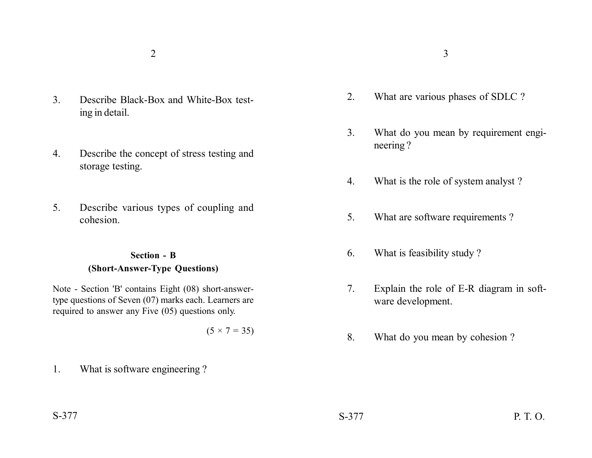- 3. Describe Black-Box and White-Box testing in detail.
- 4. Describe the concept of stress testing and storage testing.
- 5. Describe various types of coupling and cohesion.

## **Section - B (Short-Answer-Type Questions)**

Note - Section 'B' contains Eight (08) short-answertype questions of Seven (07) marks each. Learners are required to answer any Five (05) questions only.

 $(5 \times 7 = 35)$ 

1. What is software engineering ?

- 2. What are various phases of SDLC ?
- 3. What do you mean by requirement engineering ?
- 4. What is the role of system analyst ?
- 5. What are software requirements ?
- 6. What is feasibility study ?
- 7. Explain the role of E-R diagram in software development.
- 8. What do you mean by cohesion ?